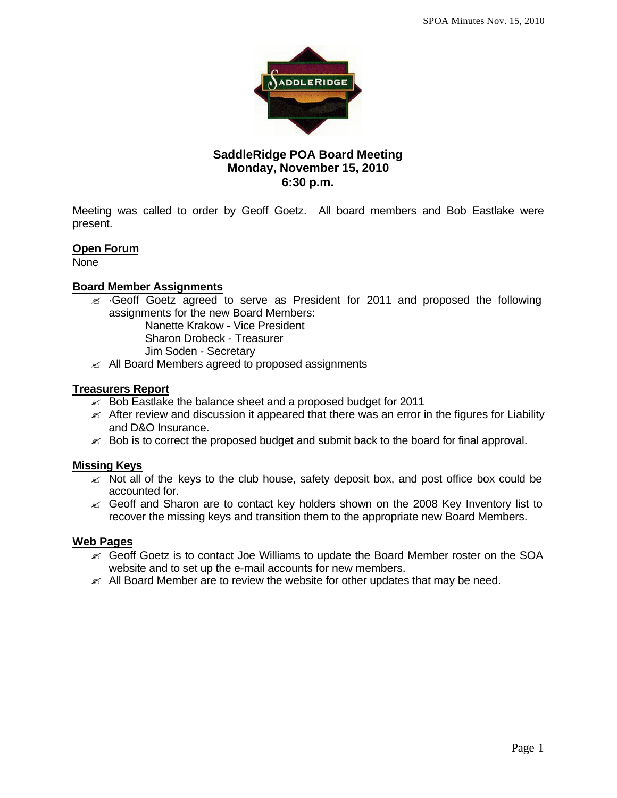

## **SaddleRidge POA Board Meeting Monday, November 15, 2010 6:30 p.m.**

Meeting was called to order by Geoff Goetz. All board members and Bob Eastlake were present.

## **Open Forum**

None

# **Board Member Assignments**

 $\epsilon$  ·Geoff Goetz agreed to serve as President for 2011 and proposed the following assignments for the new Board Members:

Nanette Krakow - Vice President

Sharon Drobeck - Treasurer

- Jim Soden Secretary
- $\mathscr{A}$  All Board Members agreed to proposed assignments

## **Treasurers Report**

- $\approx$  Bob Eastlake the balance sheet and a proposed budget for 2011
- $\mathscr{A}$  After review and discussion it appeared that there was an error in the figures for Liability and D&O Insurance.
- $\approx$  Bob is to correct the proposed budget and submit back to the board for final approval.

## **Missing Keys**

- $\ll$  Not all of the keys to the club house, safety deposit box, and post office box could be accounted for.
- $\mathscr{L}$  Geoff and Sharon are to contact key holders shown on the 2008 Key Inventory list to recover the missing keys and transition them to the appropriate new Board Members.

#### **Web Pages**

- $\epsilon$  Geoff Goetz is to contact Joe Williams to update the Board Member roster on the SOA website and to set up the e-mail accounts for new members.
- $\mathbb Z$  All Board Member are to review the website for other updates that may be need.